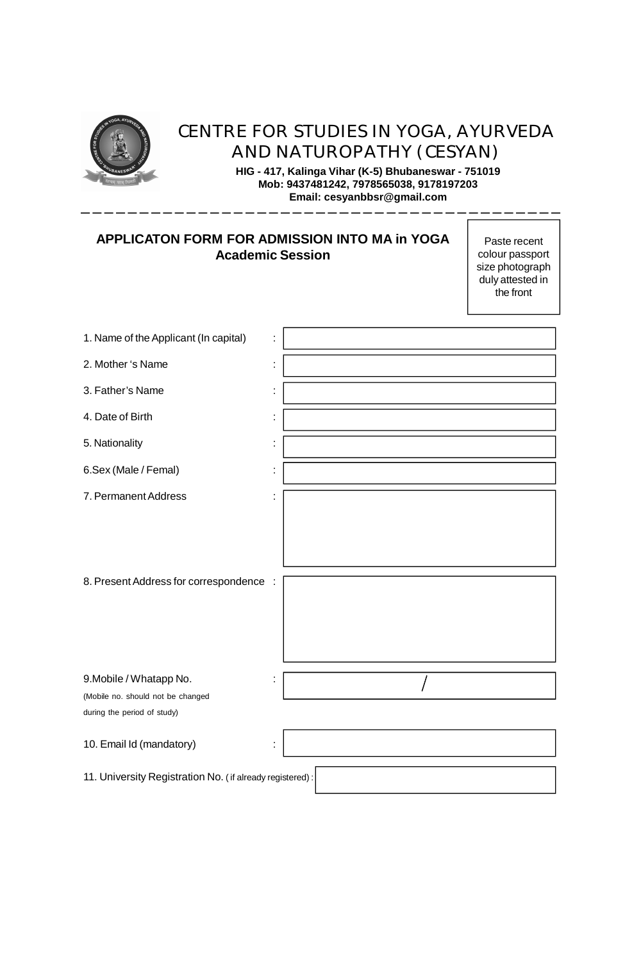

# CENTRE FOR STUDIES IN YOGA, AYURVEDA AND NATUROPATHY (CESYAN)

**HIG - 417, Kalinga Vihar (K-5) Bhubaneswar - 751019 Mob: 9437481242, 7978565038, 9178197203 Email: cesyanbbsr@gmail.com**

# **APPLICATON FORM FOR ADMISSION INTO MA in YOGA Academic Session**

Paste recent colour passport size photograph duly attested in the front

| 1. Name of the Applicant (In capital)                            | t  |  |  |  |  |  |  |
|------------------------------------------------------------------|----|--|--|--|--|--|--|
| 2. Mother 's Name                                                | Ì  |  |  |  |  |  |  |
| 3. Father's Name                                                 | t  |  |  |  |  |  |  |
| 4. Date of Birth                                                 | Ì  |  |  |  |  |  |  |
| 5. Nationality                                                   | t, |  |  |  |  |  |  |
| 6.Sex (Male / Femal)                                             | t, |  |  |  |  |  |  |
| 7. Permanent Address                                             | Ì  |  |  |  |  |  |  |
| 8. Present Address for correspondence :                          |    |  |  |  |  |  |  |
| 9. Mobile / Whatapp No.                                          | t, |  |  |  |  |  |  |
| (Mobile no. should not be changed<br>during the period of study) |    |  |  |  |  |  |  |
| 10. Email Id (mandatory)                                         | t  |  |  |  |  |  |  |
| 11. University Registration No. (if already registered):         |    |  |  |  |  |  |  |

 $\mathbf{I}$